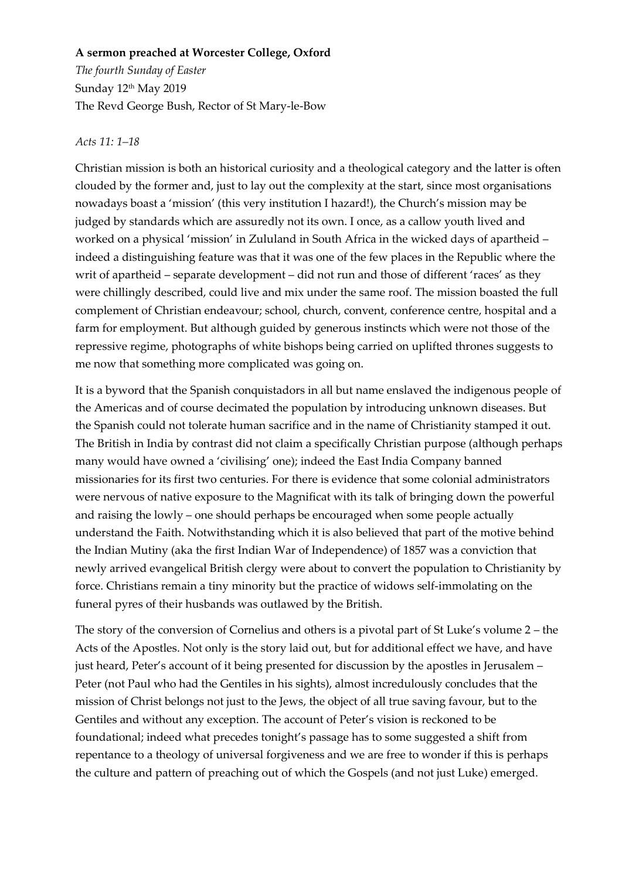## **A sermon preached at Worcester College, Oxford**

*The fourth Sunday of Easter* Sunday 12<sup>th</sup> May 2019 The Revd George Bush, Rector of St Mary-le-Bow

## *Acts 11: 1–18*

Christian mission is both an historical curiosity and a theological category and the latter is often clouded by the former and, just to lay out the complexity at the start, since most organisations nowadays boast a 'mission' (this very institution I hazard!), the Church's mission may be judged by standards which are assuredly not its own. I once, as a callow youth lived and worked on a physical 'mission' in Zululand in South Africa in the wicked days of apartheid – indeed a distinguishing feature was that it was one of the few places in the Republic where the writ of apartheid – separate development – did not run and those of different 'races' as they were chillingly described, could live and mix under the same roof. The mission boasted the full complement of Christian endeavour; school, church, convent, conference centre, hospital and a farm for employment. But although guided by generous instincts which were not those of the repressive regime, photographs of white bishops being carried on uplifted thrones suggests to me now that something more complicated was going on.

It is a byword that the Spanish conquistadors in all but name enslaved the indigenous people of the Americas and of course decimated the population by introducing unknown diseases. But the Spanish could not tolerate human sacrifice and in the name of Christianity stamped it out. The British in India by contrast did not claim a specifically Christian purpose (although perhaps many would have owned a 'civilising' one); indeed the East India Company banned missionaries for its first two centuries. For there is evidence that some colonial administrators were nervous of native exposure to the Magnificat with its talk of bringing down the powerful and raising the lowly – one should perhaps be encouraged when some people actually understand the Faith. Notwithstanding which it is also believed that part of the motive behind the Indian Mutiny (aka the first Indian War of Independence) of 1857 was a conviction that newly arrived evangelical British clergy were about to convert the population to Christianity by force. Christians remain a tiny minority but the practice of widows self-immolating on the funeral pyres of their husbands was outlawed by the British.

The story of the conversion of Cornelius and others is a pivotal part of St Luke's volume 2 – the Acts of the Apostles. Not only is the story laid out, but for additional effect we have, and have just heard, Peter's account of it being presented for discussion by the apostles in Jerusalem – Peter (not Paul who had the Gentiles in his sights), almost incredulously concludes that the mission of Christ belongs not just to the Jews, the object of all true saving favour, but to the Gentiles and without any exception. The account of Peter's vision is reckoned to be foundational; indeed what precedes tonight's passage has to some suggested a shift from repentance to a theology of universal forgiveness and we are free to wonder if this is perhaps the culture and pattern of preaching out of which the Gospels (and not just Luke) emerged.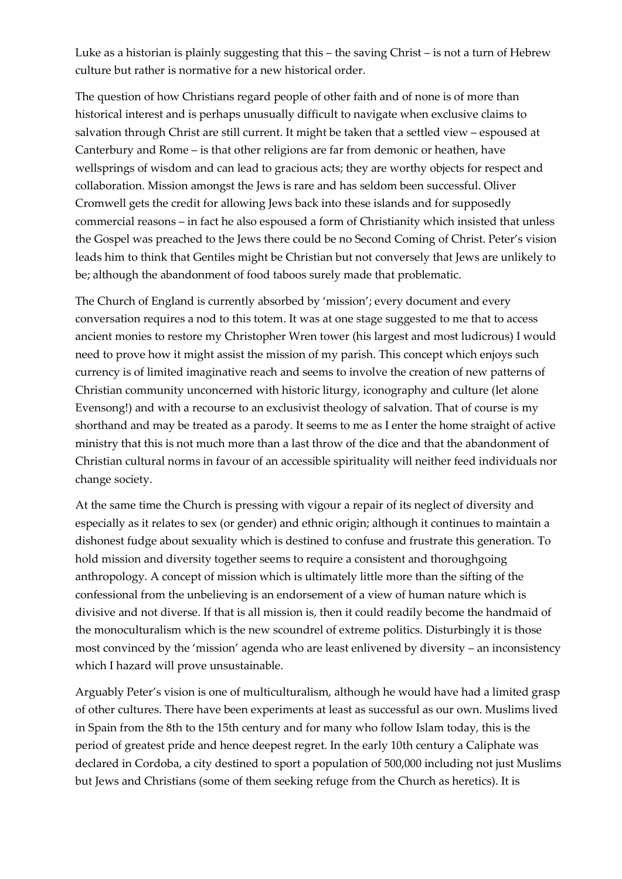Luke as a historian is plainly suggesting that this – the saving Christ – is not a turn of Hebrew culture but rather is normative for a new historical order.

The question of how Christians regard people of other faith and of none is of more than historical interest and is perhaps unusually difficult to navigate when exclusive claims to salvation through Christ are still current. It might be taken that a settled view – espoused at Canterbury and Rome – is that other religions are far from demonic or heathen, have wellsprings of wisdom and can lead to gracious acts; they are worthy objects for respect and collaboration. Mission amongst the Jews is rare and has seldom been successful. Oliver Cromwell gets the credit for allowing Jews back into these islands and for supposedly commercial reasons – in fact he also espoused a form of Christianity which insisted that unless the Gospel was preached to the Jews there could be no Second Coming of Christ. Peter's vision leads him to think that Gentiles might be Christian but not conversely that Jews are unlikely to be; although the abandonment of food taboos surely made that problematic.

The Church of England is currently absorbed by 'mission'; every document and every conversation requires a nod to this totem. It was at one stage suggested to me that to access ancient monies to restore my Christopher Wren tower (his largest and most ludicrous) I would need to prove how it might assist the mission of my parish. This concept which enjoys such currency is of limited imaginative reach and seems to involve the creation of new patterns of Christian community unconcerned with historic liturgy, iconography and culture (let alone Evensong!) and with a recourse to an exclusivist theology of salvation. That of course is my shorthand and may be treated as a parody. It seems to me as I enter the home straight of active ministry that this is not much more than a last throw of the dice and that the abandonment of Christian cultural norms in favour of an accessible spirituality will neither feed individuals nor change society.

At the same time the Church is pressing with vigour a repair of its neglect of diversity and especially as it relates to sex (or gender) and ethnic origin; although it continues to maintain a dishonest fudge about sexuality which is destined to confuse and frustrate this generation. To hold mission and diversity together seems to require a consistent and thoroughgoing anthropology. A concept of mission which is ultimately little more than the sifting of the confessional from the unbelieving is an endorsement of a view of human nature which is divisive and not diverse. If that is all mission is, then it could readily become the handmaid of the monoculturalism which is the new scoundrel of extreme politics. Disturbingly it is those most convinced by the 'mission' agenda who are least enlivened by diversity – an inconsistency which I hazard will prove unsustainable.

Arguably Peter's vision is one of multiculturalism, although he would have had a limited grasp of other cultures. There have been experiments at least as successful as our own. Muslims lived in Spain from the 8th to the 15th century and for many who follow Islam today, this is the period of greatest pride and hence deepest regret. In the early 10th century a Caliphate was declared in Cordoba, a city destined to sport a population of 500,000 including not just Muslims but Jews and Christians (some of them seeking refuge from the Church as heretics). It is